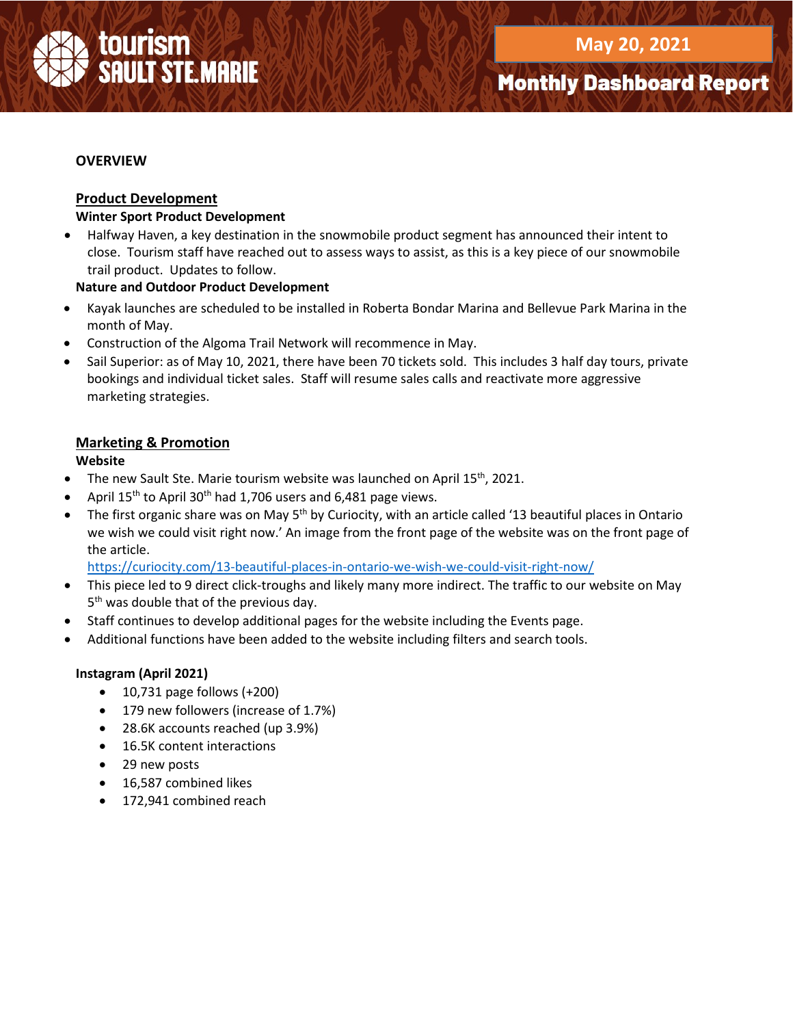

## **OVERVIEW**

# **Product Development**

#### **Winter Sport Product Development**

• Halfway Haven, a key destination in the snowmobile product segment has announced their intent to close. Tourism staff have reached out to assess ways to assist, as this is a key piece of our snowmobile trail product. Updates to follow.

#### **Nature and Outdoor Product Development**

- Kayak launches are scheduled to be installed in Roberta Bondar Marina and Bellevue Park Marina in the month of May.
- Construction of the Algoma Trail Network will recommence in May.
- Sail Superior: as of May 10, 2021, there have been 70 tickets sold. This includes 3 half day tours, private bookings and individual ticket sales. Staff will resume sales calls and reactivate more aggressive marketing strategies.

# **Marketing & Promotion**

#### **Website**

- The new Sault Ste. Marie tourism website was launched on April 15<sup>th</sup>, 2021.
- April 15<sup>th</sup> to April 30<sup>th</sup> had 1,706 users and 6,481 page views.
- The first organic share was on May 5<sup>th</sup> by Curiocity, with an article called '13 beautiful places in Ontario we wish we could visit right now.' An image from the front page of the website was on the front page of the article.

<https://curiocity.com/13-beautiful-places-in-ontario-we-wish-we-could-visit-right-now/>

- This piece led to 9 direct click-troughs and likely many more indirect. The traffic to our website on May 5<sup>th</sup> was double that of the previous day.
- Staff continues to develop additional pages for the website including the Events page.
- Additional functions have been added to the website including filters and search tools.

# **Instagram (April 2021)**

- 10,731 page follows (+200)
- 179 new followers (increase of 1.7%)
- 28.6K accounts reached (up 3.9%)
- 16.5K content interactions
- 29 new posts
- 16,587 combined likes
- 172,941 combined reach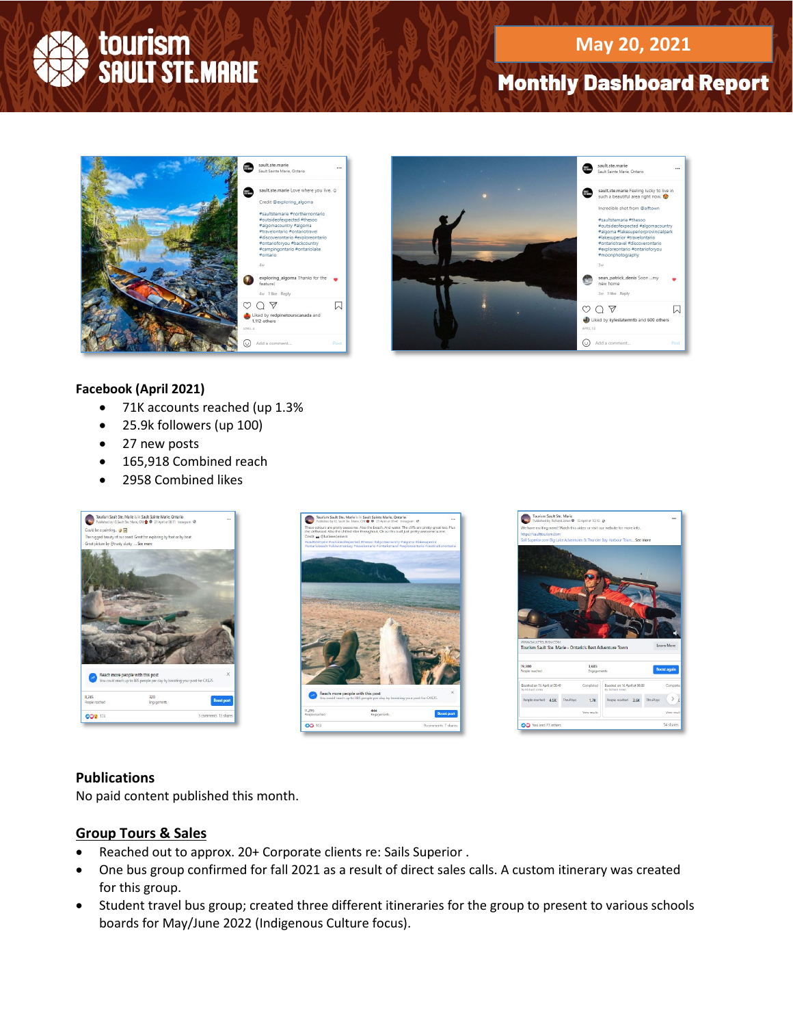

# **Monthly Dashboard Report**





#### **Facebook (April 2021)**

- 71K accounts reached (up 1.3%
- 25.9k followers (up 100)
- 27 new posts
- 165,918 Combined reach
- 2958 Combined likes







#### **Publications**

No paid content published this month.

## **Group Tours & Sales**

- Reached out to approx. 20+ Corporate clients re: Sails Superior .
- One bus group confirmed for fall 2021 as a result of direct sales calls. A custom itinerary was created for this group.
- Student travel bus group; created three different itineraries for the group to present to various schools boards for May/June 2022 (Indigenous Culture focus).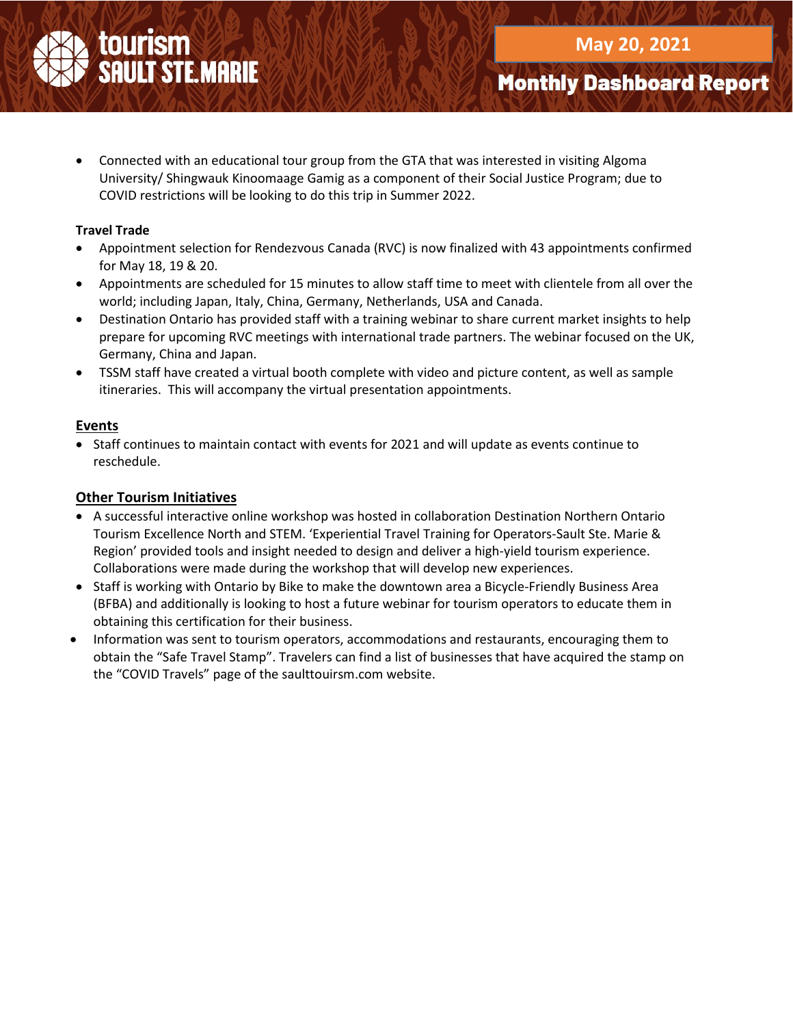• Connected with an educational tour group from the GTA that was interested in visiting Algoma University/ Shingwauk Kinoomaage Gamig as a component of their Social Justice Program; due to COVID restrictions will be looking to do this trip in Summer 2022.

# **Travel Trade**

- Appointment selection for Rendezvous Canada (RVC) is now finalized with 43 appointments confirmed for May 18, 19 & 20.
- Appointments are scheduled for 15 minutes to allow staff time to meet with clientele from all over the world; including Japan, Italy, China, Germany, Netherlands, USA and Canada.
- Destination Ontario has provided staff with a training webinar to share current market insights to help prepare for upcoming RVC meetings with international trade partners. The webinar focused on the UK, Germany, China and Japan.
- TSSM staff have created a virtual booth complete with video and picture content, as well as sample itineraries. This will accompany the virtual presentation appointments.

# **Events**

• Staff continues to maintain contact with events for 2021 and will update as events continue to reschedule.

# **Other Tourism Initiatives**

- A successful interactive online workshop was hosted in collaboration Destination Northern Ontario Tourism Excellence North and STEM. 'Experiential Travel Training for Operators-Sault Ste. Marie & Region' provided tools and insight needed to design and deliver a high-yield tourism experience. Collaborations were made during the workshop that will develop new experiences.
- Staff is working with Ontario by Bike to make the downtown area a Bicycle-Friendly Business Area (BFBA) and additionally is looking to host a future webinar for tourism operators to educate them in obtaining this certification for their business.
- Information was sent to tourism operators, accommodations and restaurants, encouraging them to obtain the "Safe Travel Stamp". Travelers can find a list of businesses that have acquired the stamp on the "COVID Travels" page of the saulttouirsm.com website.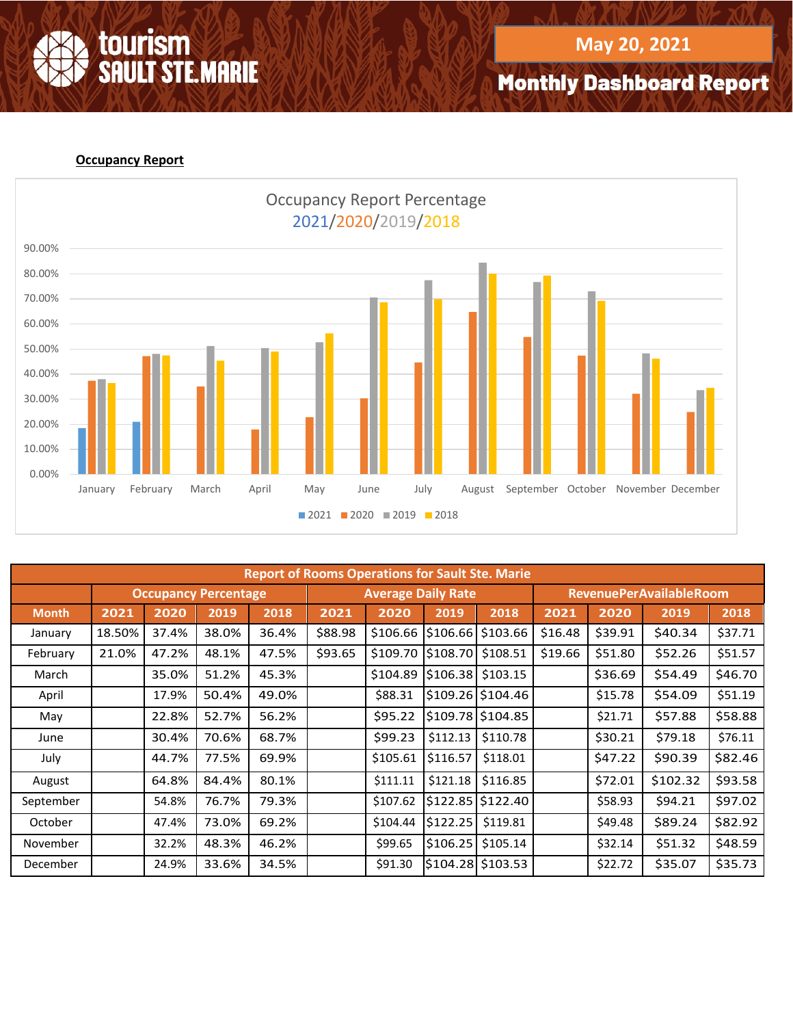

**Monthly Dashboard Report** 

#### **Occupancy Report**



| <b>Report of Rooms Operations for Sault Ste. Marie</b> |                             |       |       |       |                           |          |          |                   |                                |         |          |         |
|--------------------------------------------------------|-----------------------------|-------|-------|-------|---------------------------|----------|----------|-------------------|--------------------------------|---------|----------|---------|
|                                                        | <b>Occupancy Percentage</b> |       |       |       | <b>Average Daily Rate</b> |          |          |                   | <b>RevenuePerAvailableRoom</b> |         |          |         |
| <b>Month</b>                                           | 2021                        | 2020  | 2019  | 2018  | 2021                      | 2020     | 2019     | 2018              | 2021                           | 2020    | 2019     | 2018    |
| January                                                | 18.50%                      | 37.4% | 38.0% | 36.4% | \$88.98                   | \$106.66 | \$106.66 | \$103.66          | \$16.48                        | \$39.91 | \$40.34  | \$37.71 |
| February                                               | 21.0%                       | 47.2% | 48.1% | 47.5% | \$93.65                   | \$109.70 | \$108.70 | \$108.51          | \$19.66                        | \$51.80 | \$52.26  | \$51.57 |
| March                                                  |                             | 35.0% | 51.2% | 45.3% |                           | \$104.89 | \$106.38 | \$103.15          |                                | \$36.69 | \$54.49  | \$46.70 |
| April                                                  |                             | 17.9% | 50.4% | 49.0% |                           | \$88.31  |          | \$109.26 \$104.46 |                                | \$15.78 | \$54.09  | \$51.19 |
| May                                                    |                             | 22.8% | 52.7% | 56.2% |                           | \$95.22  |          | \$109.78 \$104.85 |                                | \$21.71 | \$57.88  | \$58.88 |
| June                                                   |                             | 30.4% | 70.6% | 68.7% |                           | \$99.23  | \$112.13 | \$110.78          |                                | \$30.21 | \$79.18  | \$76.11 |
| July                                                   |                             | 44.7% | 77.5% | 69.9% |                           | \$105.61 | \$116.57 | \$118.01          |                                | \$47.22 | \$90.39  | \$82.46 |
| August                                                 |                             | 64.8% | 84.4% | 80.1% |                           | \$111.11 | \$121.18 | \$116.85          |                                | \$72.01 | \$102.32 | \$93.58 |
| September                                              |                             | 54.8% | 76.7% | 79.3% |                           | \$107.62 |          | \$122.85 \$122.40 |                                | \$58.93 | \$94.21  | \$97.02 |
| October                                                |                             | 47.4% | 73.0% | 69.2% |                           | \$104.44 | \$122.25 | \$119.81          |                                | \$49.48 | \$89.24  | \$82.92 |
| November                                               |                             | 32.2% | 48.3% | 46.2% |                           | \$99.65  | \$106.25 | \$105.14          |                                | \$32.14 | \$51.32  | \$48.59 |
| December                                               |                             | 24.9% | 33.6% | 34.5% |                           | \$91.30  |          | \$104.28 \$103.53 |                                | \$22.72 | \$35.07  | \$35.73 |